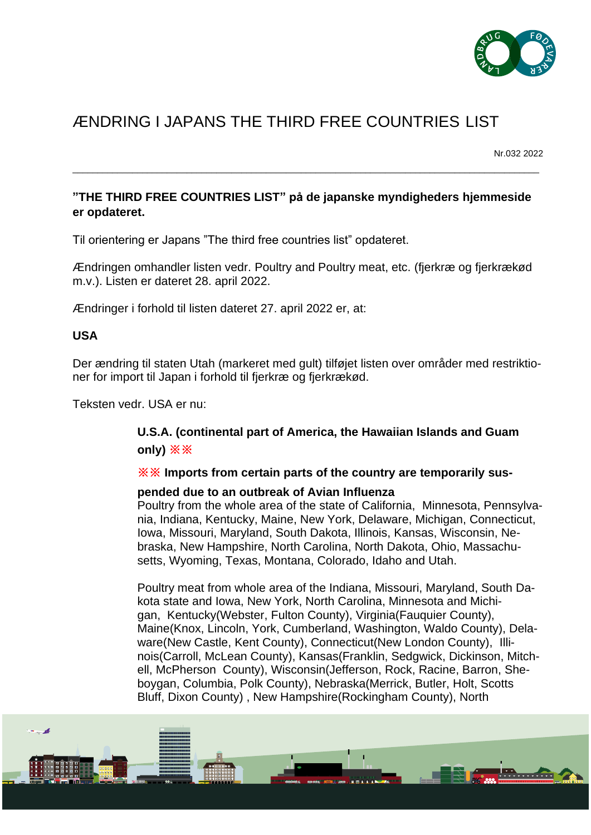

# ÆNDRING I JAPANS THE THIRD FREE COUNTRIES LIST

Nr.032 2022

## **"THE THIRD FREE COUNTRIES LIST" på de japanske myndigheders hjemmeside er opdateret.**

\_\_\_\_\_\_\_\_\_\_\_\_\_\_\_\_\_\_\_\_\_\_\_\_\_\_\_\_\_\_\_\_\_\_\_\_\_\_\_\_\_\_\_\_\_\_\_\_\_\_\_\_\_\_\_\_\_\_\_\_\_\_\_\_\_\_\_\_\_\_\_\_\_\_\_\_\_\_\_\_\_\_\_\_\_\_\_\_\_\_\_\_\_\_

Til orientering er Japans "The third free countries list" opdateret.

Ændringen omhandler listen vedr. Poultry and Poultry meat, etc. (fjerkræ og fjerkrækød m.v.). Listen er dateret 28. april 2022.

Ændringer i forhold til listen dateret 27. april 2022 er, at:

### **USA**

Der ændring til staten Utah (markeret med gult) tilføjet listen over områder med restriktioner for import til Japan i forhold til fjerkræ og fjerkrækød.

Teksten vedr. USA er nu:

## **U.S.A. (continental part of America, the Hawaiian Islands and Guam only) ※※**

#### **※※ Imports from certain parts of the country are temporarily sus-**

#### **pended due to an outbreak of Avian Influenza**

Poultry from the whole area of the state of California, Minnesota, Pennsylvania, Indiana, Kentucky, Maine, New York, Delaware, Michigan, Connecticut, Iowa, Missouri, Maryland, South Dakota, Illinois, Kansas, Wisconsin, Nebraska, New Hampshire, North Carolina, North Dakota, Ohio, Massachusetts, Wyoming, Texas, Montana, Colorado, Idaho and Utah.

Poultry meat from whole area of the Indiana, Missouri, Maryland, South Dakota state and Iowa, New York, North Carolina, Minnesota and Michigan, Kentucky(Webster, Fulton County), Virginia(Fauquier County), Maine(Knox, Lincoln, York, Cumberland, Washington, Waldo County), Delaware(New Castle, Kent County), Connecticut(New London County), Illinois(Carroll, McLean County), Kansas(Franklin, Sedgwick, Dickinson, Mitchell, McPherson County), Wisconsin(Jefferson, Rock, Racine, Barron, Sheboygan, Columbia, Polk County), Nebraska(Merrick, Butler, Holt, Scotts Bluff, Dixon County) , New Hampshire(Rockingham County), North